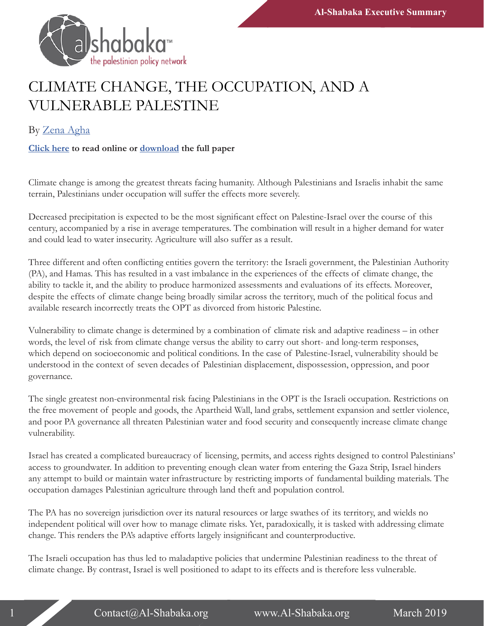

## CLIMATE CHANGE, THE OCCUPATION, AND A VULNERABLE PALESTINE

## By [Zena Agha](https://al-shabaka.org/en/author/zena-agha/)

## **[Click here](https://al-shabaka.org/briefs/climate-change-the-occupation-and-a-vulnerable-palestine/) to read online or [download](https://al-shabaka.org/wp-content/uploads/2019/03/Agha_PolicyBrief_Eng_Mar2019.pdf) the full paper**

Climate change is among the greatest threats facing humanity. Although Palestinians and Israelis inhabit the same terrain, Palestinians under occupation will suffer the effects more severely.

Decreased precipitation is expected to be the most significant effect on Palestine-Israel over the course of this century, accompanied by a rise in average temperatures. The combination will result in a higher demand for water and could lead to water insecurity. Agriculture will also suffer as a result.

Three different and often conflicting entities govern the territory: the Israeli government, the Palestinian Authority (PA), and Hamas. This has resulted in a vast imbalance in the experiences of the effects of climate change, the ability to tackle it, and the ability to produce harmonized assessments and evaluations of its effects. Moreover, despite the effects of climate change being broadly similar across the territory, much of the political focus and available research incorrectly treats the OPT as divorced from historic Palestine.

Vulnerability to climate change is determined by a combination of climate risk and adaptive readiness – in other words, the level of risk from climate change versus the ability to carry out short- and long-term responses, which depend on socioeconomic and political conditions. In the case of Palestine-Israel, vulnerability should be understood in the context of seven decades of Palestinian displacement, dispossession, oppression, and poor governance.

The single greatest non-environmental risk facing Palestinians in the OPT is the Israeli occupation. Restrictions on the free movement of people and goods, the Apartheid Wall, land grabs, settlement expansion and settler violence, and poor PA governance all threaten Palestinian water and food security and consequently increase climate change vulnerability.

Israel has created a complicated bureaucracy of licensing, permits, and access rights designed to control Palestinians' access to groundwater. In addition to preventing enough clean water from entering the Gaza Strip, Israel hinders any attempt to build or maintain water infrastructure by restricting imports of fundamental building materials. The occupation damages Palestinian agriculture through land theft and population control.

The PA has no sovereign jurisdiction over its natural resources or large swathes of its territory, and wields no independent political will over how to manage climate risks. Yet, paradoxically, it is tasked with addressing climate change. This renders the PA's adaptive efforts largely insignificant and counterproductive.

The Israeli occupation has thus led to maladaptive policies that undermine Palestinian readiness to the threat of climate change. By contrast, Israel is well positioned to adapt to its effects and is therefore less vulnerable.